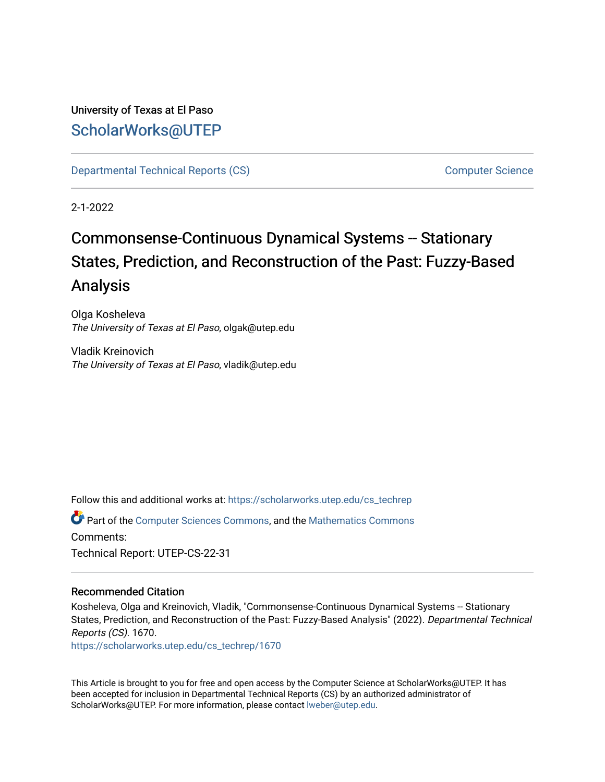# University of Texas at El Paso [ScholarWorks@UTEP](https://scholarworks.utep.edu/)

[Departmental Technical Reports \(CS\)](https://scholarworks.utep.edu/cs_techrep) [Computer Science](https://scholarworks.utep.edu/computer) 

2-1-2022

# Commonsense-Continuous Dynamical Systems -- Stationary States, Prediction, and Reconstruction of the Past: Fuzzy-Based Analysis

Olga Kosheleva The University of Texas at El Paso, olgak@utep.edu

Vladik Kreinovich The University of Texas at El Paso, vladik@utep.edu

Follow this and additional works at: [https://scholarworks.utep.edu/cs\\_techrep](https://scholarworks.utep.edu/cs_techrep?utm_source=scholarworks.utep.edu%2Fcs_techrep%2F1670&utm_medium=PDF&utm_campaign=PDFCoverPages) 

Part of the [Computer Sciences Commons](http://network.bepress.com/hgg/discipline/142?utm_source=scholarworks.utep.edu%2Fcs_techrep%2F1670&utm_medium=PDF&utm_campaign=PDFCoverPages), and the [Mathematics Commons](http://network.bepress.com/hgg/discipline/174?utm_source=scholarworks.utep.edu%2Fcs_techrep%2F1670&utm_medium=PDF&utm_campaign=PDFCoverPages)  Comments: Technical Report: UTEP-CS-22-31

## Recommended Citation

Kosheleva, Olga and Kreinovich, Vladik, "Commonsense-Continuous Dynamical Systems -- Stationary States, Prediction, and Reconstruction of the Past: Fuzzy-Based Analysis" (2022). Departmental Technical Reports (CS). 1670.

[https://scholarworks.utep.edu/cs\\_techrep/1670](https://scholarworks.utep.edu/cs_techrep/1670?utm_source=scholarworks.utep.edu%2Fcs_techrep%2F1670&utm_medium=PDF&utm_campaign=PDFCoverPages) 

This Article is brought to you for free and open access by the Computer Science at ScholarWorks@UTEP. It has been accepted for inclusion in Departmental Technical Reports (CS) by an authorized administrator of ScholarWorks@UTEP. For more information, please contact [lweber@utep.edu](mailto:lweber@utep.edu).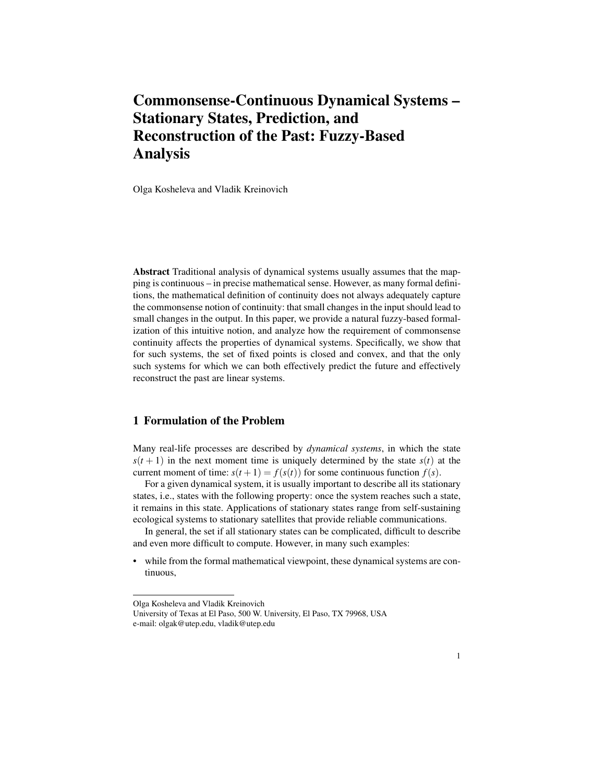# Commonsense-Continuous Dynamical Systems – Stationary States, Prediction, and Reconstruction of the Past: Fuzzy-Based Analysis

Olga Kosheleva and Vladik Kreinovich

Abstract Traditional analysis of dynamical systems usually assumes that the mapping is continuous – in precise mathematical sense. However, as many formal definitions, the mathematical definition of continuity does not always adequately capture the commonsense notion of continuity: that small changes in the input should lead to small changes in the output. In this paper, we provide a natural fuzzy-based formalization of this intuitive notion, and analyze how the requirement of commonsense continuity affects the properties of dynamical systems. Specifically, we show that for such systems, the set of fixed points is closed and convex, and that the only such systems for which we can both effectively predict the future and effectively reconstruct the past are linear systems.

#### 1 Formulation of the Problem

Many real-life processes are described by *dynamical systems*, in which the state  $s(t+1)$  in the next moment time is uniquely determined by the state  $s(t)$  at the current moment of time:  $s(t + 1) = f(s(t))$  for some continuous function  $f(s)$ .

For a given dynamical system, it is usually important to describe all its stationary states, i.e., states with the following property: once the system reaches such a state, it remains in this state. Applications of stationary states range from self-sustaining ecological systems to stationary satellites that provide reliable communications.

In general, the set if all stationary states can be complicated, difficult to describe and even more difficult to compute. However, in many such examples:

while from the formal mathematical viewpoint, these dynamical systems are continuous,

Olga Kosheleva and Vladik Kreinovich

University of Texas at El Paso, 500 W. University, El Paso, TX 79968, USA e-mail: olgak@utep.edu, vladik@utep.edu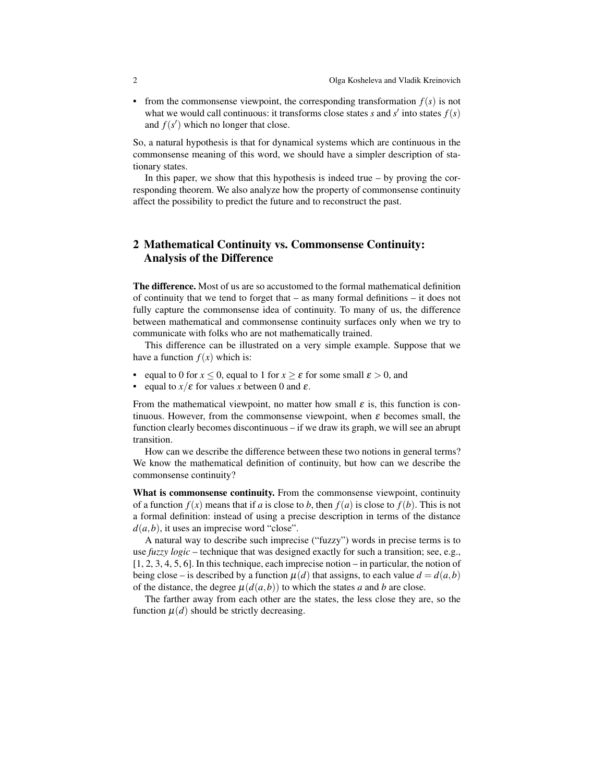• from the commonsense viewpoint, the corresponding transformation  $f(s)$  is not what we would call continuous: it transforms close states  $s$  and  $s'$  into states  $f(s)$ and  $f(s')$  which no longer that close.

So, a natural hypothesis is that for dynamical systems which are continuous in the commonsense meaning of this word, we should have a simpler description of stationary states.

In this paper, we show that this hypothesis is indeed true  $-$  by proving the corresponding theorem. We also analyze how the property of commonsense continuity affect the possibility to predict the future and to reconstruct the past.

### 2 Mathematical Continuity vs. Commonsense Continuity: Analysis of the Difference

The difference. Most of us are so accustomed to the formal mathematical definition of continuity that we tend to forget that – as many formal definitions – it does not fully capture the commonsense idea of continuity. To many of us, the difference between mathematical and commonsense continuity surfaces only when we try to communicate with folks who are not mathematically trained.

This difference can be illustrated on a very simple example. Suppose that we have a function  $f(x)$  which is:

- equal to 0 for  $x \le 0$ , equal to 1 for  $x \ge \varepsilon$  for some small  $\varepsilon > 0$ , and
- equal to  $x/\varepsilon$  for values *x* between 0 and  $\varepsilon$ .

From the mathematical viewpoint, no matter how small  $\varepsilon$  is, this function is continuous. However, from the commonsense viewpoint, when  $\varepsilon$  becomes small, the function clearly becomes discontinuous – if we draw its graph, we will see an abrupt transition.

How can we describe the difference between these two notions in general terms? We know the mathematical definition of continuity, but how can we describe the commonsense continuity?

What is commonsense continuity. From the commonsense viewpoint, continuity of a function  $f(x)$  means that if *a* is close to *b*, then  $f(a)$  is close to  $f(b)$ . This is not a formal definition: instead of using a precise description in terms of the distance  $d(a,b)$ , it uses an imprecise word "close".

A natural way to describe such imprecise ("fuzzy") words in precise terms is to use *fuzzy logic* – technique that was designed exactly for such a transition; see, e.g., [1, 2, 3, 4, 5, 6]. In this technique, each imprecise notion – in particular, the notion of being close – is described by a function  $\mu(d)$  that assigns, to each value  $d = d(a, b)$ of the distance, the degree  $\mu(d(a,b))$  to which the states *a* and *b* are close.

The farther away from each other are the states, the less close they are, so the function  $\mu(d)$  should be strictly decreasing.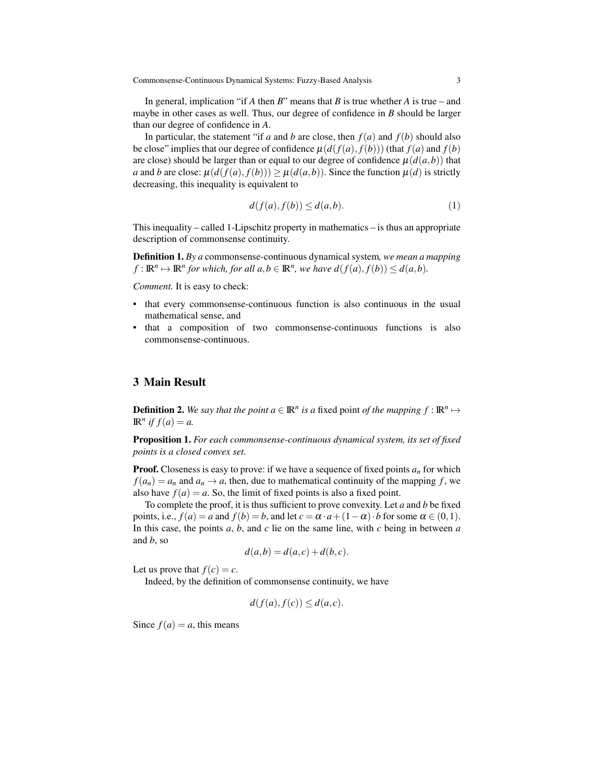Commonsense-Continuous Dynamical Systems: Fuzzy-Based Analysis 3

In general, implication "if *A* then *B*" means that *B* is true whether *A* is true – and maybe in other cases as well. Thus, our degree of confidence in *B* should be larger than our degree of confidence in *A*.

In particular, the statement "if *a* and *b* are close, then  $f(a)$  and  $f(b)$  should also be close" implies that our degree of confidence  $\mu(d(f(a), f(b)))$  (that  $f(a)$  and  $f(b)$ ) are close) should be larger than or equal to our degree of confidence  $\mu(d(a,b))$  that *a* and *b* are close:  $\mu(d(f(a), f(b))) \geq \mu(d(a, b))$ . Since the function  $\mu(d)$  is strictly decreasing, this inequality is equivalent to

$$
d(f(a), f(b)) \le d(a, b). \tag{1}
$$

This inequality – called 1-Lipschitz property in mathematics – is thus an appropriate description of commonsense continuity.

Definition 1. *By a* commonsense-continuous dynamical system*, we mean a mapping*  $f: \mathbb{R}^n \mapsto \mathbb{R}^n$  for which, for all  $a, b \in \mathbb{R}^n$ , we have  $d(f(a), f(b)) \leq d(a, b)$ .

*Comment.* It is easy to check:

- that every commonsense-continuous function is also continuous in the usual mathematical sense, and
- that a composition of two commonsense-continuous functions is also commonsense-continuous.

#### 3 Main Result

**Definition 2.** We say that the point  $a \in \mathbb{R}^n$  is a fixed point of the mapping  $f : \mathbb{R}^n \mapsto$  $\mathbb{R}^n$  *if*  $f(a) = a$ .

Proposition 1. *For each commonsense-continuous dynamical system, its set of fixed points is a closed convex set.*

**Proof.** Closeness is easy to prove: if we have a sequence of fixed points  $a_n$  for which  $f(a_n) = a_n$  and  $a_n \to a$ , then, due to mathematical continuity of the mapping *f*, we also have  $f(a) = a$ . So, the limit of fixed points is also a fixed point.

To complete the proof, it is thus sufficient to prove convexity. Let *a* and *b* be fixed points, i.e.,  $f(a) = a$  and  $f(b) = b$ , and let  $c = \alpha \cdot a + (1 - \alpha) \cdot b$  for some  $\alpha \in (0, 1)$ . In this case, the points *a*, *b*, and *c* lie on the same line, with *c* being in between *a* and *b*, so

$$
d(a,b) = d(a,c) + d(b,c).
$$

Let us prove that  $f(c) = c$ .

Indeed, by the definition of commonsense continuity, we have

$$
d(f(a), f(c)) \le d(a, c).
$$

Since  $f(a) = a$ , this means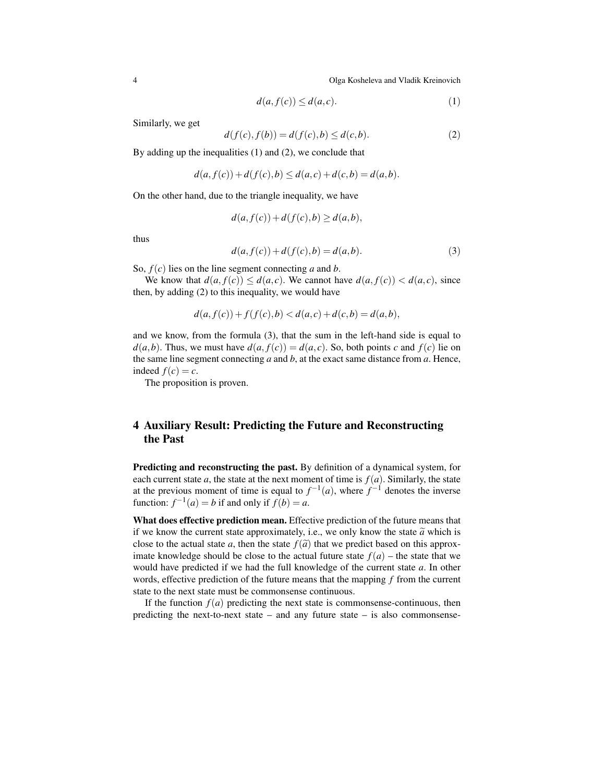4 Olga Kosheleva and Vladik Kreinovich

$$
d(a, f(c)) \le d(a, c). \tag{1}
$$

Similarly, we get

$$
d(f(c), f(b)) = d(f(c), b) \le d(c, b).
$$
 (2)

By adding up the inequalities (1) and (2), we conclude that

$$
d(a, f(c)) + d(f(c), b) \le d(a, c) + d(c, b) = d(a, b).
$$

On the other hand, due to the triangle inequality, we have

$$
d(a, f(c)) + d(f(c), b) \ge d(a, b),
$$

thus

$$
d(a, f(c)) + d(f(c), b) = d(a, b).
$$
 (3)

So, *f*(*c*) lies on the line segment connecting *a* and *b*.

We know that  $d(a, f(c)) \leq d(a, c)$ . We cannot have  $d(a, f(c)) < d(a, c)$ , since then, by adding (2) to this inequality, we would have

$$
d(a, f(c)) + f(f(c), b) < d(a, c) + d(c, b) = d(a, b),
$$

and we know, from the formula (3), that the sum in the left-hand side is equal to  $d(a,b)$ . Thus, we must have  $d(a, f(c)) = d(a, c)$ . So, both points *c* and  $f(c)$  lie on the same line segment connecting *a* and *b*, at the exact same distance from *a*. Hence, indeed  $f(c) = c$ .

The proposition is proven.

## 4 Auxiliary Result: Predicting the Future and Reconstructing the Past

Predicting and reconstructing the past. By definition of a dynamical system, for each current state *a*, the state at the next moment of time is  $f(a)$ . Similarly, the state at the previous moment of time is equal to  $f^{-1}(a)$ , where  $f^{-1}$  denotes the inverse function:  $f^{-1}(a) = b$  if and only if  $f(b) = a$ .

What does effective prediction mean. Effective prediction of the future means that if we know the current state approximately, i.e., we only know the state  $\tilde{a}$  which is close to the actual state *a*, then the state  $f(\tilde{a})$  that we predict based on this approximate knowledge should be close to the actual future state  $f(a)$  – the state that we would have predicted if we had the full knowledge of the current state *a*. In other words, effective prediction of the future means that the mapping *f* from the current state to the next state must be commonsense continuous.

If the function  $f(a)$  predicting the next state is commonsense-continuous, then predicting the next-to-next state – and any future state – is also commonsense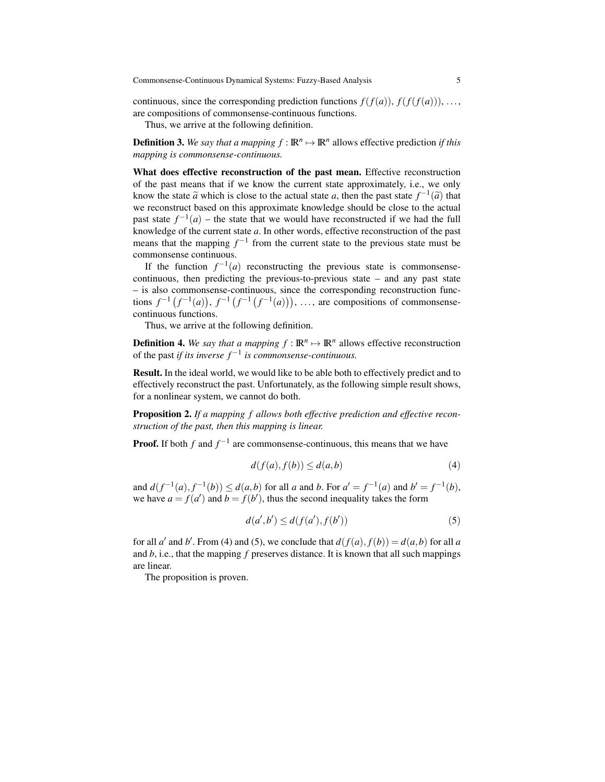continuous, since the corresponding prediction functions  $f(f(a))$ ,  $f(f(f(a)))$ , ..., are compositions of commonsense-continuous functions.

Thus, we arrive at the following definition.

**Definition 3.** We say that a mapping  $f : \mathbb{R}^n \to \mathbb{R}^n$  allows effective prediction *if this mapping is commonsense-continuous.*

What does effective reconstruction of the past mean. Effective reconstruction of the past means that if we know the current state approximately, i.e., we only know the state  $\tilde{a}$  which is close to the actual state *a*, then the past state  $f^{-1}(\tilde{a})$  that we reconstruct based on this approximate knowledge should be close to the actual we reconstruct based on this approximate knowledge should be close to the actual past state  $f^{-1}(a)$  – the state that we would have reconstructed if we had the full knowledge of the current state *a*. In other words, effective reconstruction of the past means that the mapping  $f^{-1}$  from the current state to the previous state must be commonsense continuous.

If the function  $f^{-1}(a)$  reconstructing the previous state is commonsensecontinuous, then predicting the previous-to-previous state – and any past state – is also commonsense-continuous, since the corresponding reconstruction functions  $f^{-1}(f^{-1}(a))$ ,  $f^{-1}(f^{-1}(f^{-1}(a)))$ , ..., are compositions of commonsensecontinuous functions.

Thus, we arrive at the following definition.

**Definition 4.** We say that a mapping  $f : \mathbb{R}^n \to \mathbb{R}^n$  allows effective reconstruction of the past *if its inverse*  $f^{-1}$  *is commonsense-continuous.* 

Result. In the ideal world, we would like to be able both to effectively predict and to effectively reconstruct the past. Unfortunately, as the following simple result shows, for a nonlinear system, we cannot do both.

Proposition 2. *If a mapping f allows both effective prediction and effective reconstruction of the past, then this mapping is linear.*

**Proof.** If both  $f$  and  $f^{-1}$  are commonsense-continuous, this means that we have

$$
d(f(a), f(b)) \le d(a, b) \tag{4}
$$

and  $d(f^{-1}(a), f^{-1}(b)) \leq d(a, b)$  for all *a* and *b*. For  $a' = f^{-1}(a)$  and  $b' = f^{-1}(b)$ , we have  $a = f(a')$  and  $b = f(b')$ , thus the second inequality takes the form

$$
d(a',b') \le d(f(a'),f(b'))\tag{5}
$$

for all *a'* and *b'*. From (4) and (5), we conclude that  $d(f(a), f(b)) = d(a, b)$  for all *a* and *b*, i.e., that the mapping *f* preserves distance. It is known that all such mappings are linear.

The proposition is proven.